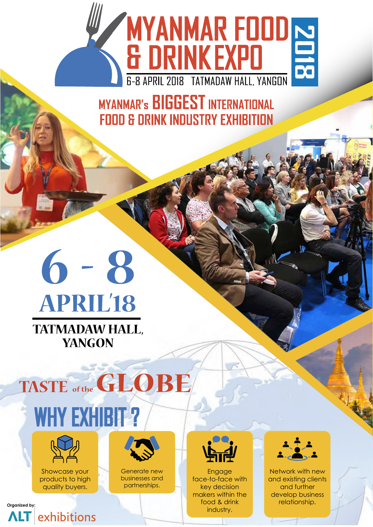

**MYANMAR'S BIGGEST INTERNATIONAL FOOD & DRINK INDUSTRY EXHIBITION** 

# $6 - 8$ **APRIL'18 TATMADAW HALL, YANGON**





Showcase your products to high quality buyers.





partnerships.



Engage face-to-face with key decision makers within the food & drink industry. organized by: food & drink relationship.



Network with new and existing clients and further develop business